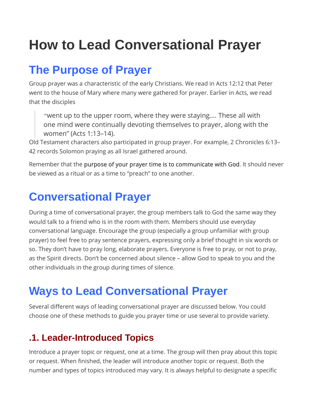# How to Lead Conversational Prayer

# The Purpose of Prayer

Group prayer was a characteristic of the early Christians. We read in Acts 12:12 that Peter went to the house of Mary where many were gathered for prayer. Earlier in Acts, we read that the disciples

"went up to the upper room, where they were staying…. These all with one mind were continually devoting themselves to prayer, along with the women" (Acts 1:13–14).

Old Testament characters also participated in group prayer. For example, 2 Chronicles 6:13– 42 records Solomon praying as all Israel gathered around.

Remember that the purpose of your prayer time is to communicate with God. It should never be viewed as a ritual or as a time to "preach" to one another.

# Conversational Prayer

During a time of conversational prayer, the group members talk to God the same way they would talk to a friend who is in the room with them. Members should use everyday conversational language. Encourage the group (especially a group unfamiliar with group prayer) to feel free to pray sentence prayers, expressing only a brief thought in six words or so. They don't have to pray long, elaborate prayers. Everyone is free to pray, or not to pray, as the Spirit directs. Don't be concerned about silence – allow God to speak to you and the other individuals in the group during times of silence.

# Ways to Lead Conversational Prayer

Several different ways of leading conversational prayer are discussed below. You could choose one of these methods to guide you prayer time or use several to provide variety.

# .1. Leader-Introduced Topics

Introduce a prayer topic or request, one at a time. The group will then pray about this topic or request. When finished, the leader will introduce another topic or request. Both the number and types of topics introduced may vary. It is always helpful to designate a specific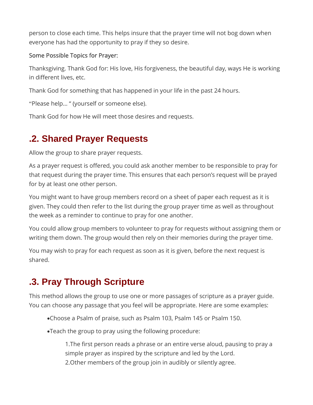person to close each time. This helps insure that the prayer time will not bog down when everyone has had the opportunity to pray if they so desire.

#### Some Possible Topics for Prayer:

Thanksgiving. Thank God for: His love, His forgiveness, the beautiful day, ways He is working in different lives, etc.

Thank God for something that has happened in your life in the past 24 hours.

"Please help… " (yourself or someone else).

Thank God for how He will meet those desires and requests.

## .2. Shared Prayer Requests

Allow the group to share prayer requests.

As a prayer request is offered, you could ask another member to be responsible to pray for that request during the prayer time. This ensures that each person's request will be prayed for by at least one other person.

You might want to have group members record on a sheet of paper each request as it is given. They could then refer to the list during the group prayer time as well as throughout the week as a reminder to continue to pray for one another.

You could allow group members to volunteer to pray for requests without assigning them or writing them down. The group would then rely on their memories during the prayer time.

You may wish to pray for each request as soon as it is given, before the next request is shared.

# .3. Pray Through Scripture

This method allows the group to use one or more passages of scripture as a prayer guide. You can choose any passage that you feel will be appropriate. Here are some examples:

Choose a Psalm of praise, such as Psalm 103, Psalm 145 or Psalm 150.

Teach the group to pray using the following procedure:

1.The first person reads a phrase or an entire verse aloud, pausing to pray a simple prayer as inspired by the scripture and led by the Lord. 2.Other members of the group join in audibly or silently agree.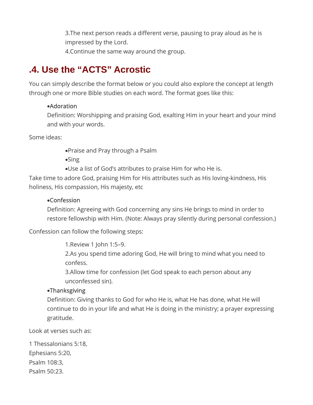3.The next person reads a different verse, pausing to pray aloud as he is impressed by the Lord. 4.Continue the same way around the group.

## .4. Use the "ACTS" Acrostic

You can simply describe the format below or you could also explore the concept at length through one or more Bible studies on each word. The format goes like this:

#### Adoration

Definition: Worshipping and praising God, exalting Him in your heart and your mind and with your words.

Some ideas:

Praise and Pray through a Psalm

•Sing

Use a list of God's attributes to praise Him for who He is.

Take time to adore God, praising Him for His attributes such as His loving-kindness, His holiness, His compassion, His majesty, etc

#### Confession

Definition: Agreeing with God concerning any sins He brings to mind in order to restore fellowship with Him. (Note: Always pray silently during personal confession.)

Confession can follow the following steps:

1.Review 1 John 1:5–9.

2.As you spend time adoring God, He will bring to mind what you need to confess.

3.Allow time for confession (let God speak to each person about any unconfessed sin).

#### **•Thanksgiving**

Definition: Giving thanks to God for who He is, what He has done, what He will continue to do in your life and what He is doing in the ministry; a prayer expressing gratitude.

Look at verses such as:

1 Thessalonians 5:18, Ephesians 5:20, Psalm 108:3, Psalm 50:23.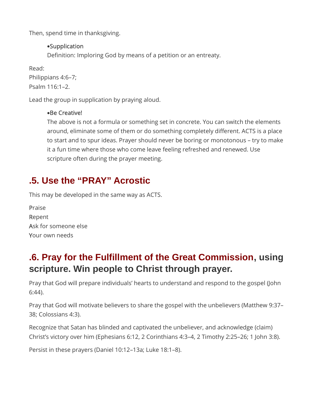Then, spend time in thanksgiving.

#### Supplication

Definition: Imploring God by means of a petition or an entreaty.

Read: Philippians 4:6–7; Psalm 116:1–2.

Lead the group in supplication by praying aloud.

#### Be Creative!

The above is not a formula or something set in concrete. You can switch the elements around, eliminate some of them or do something completely different. ACTS is a place to start and to spur ideas. Prayer should never be boring or monotonous – try to make it a fun time where those who come leave feeling refreshed and renewed. Use scripture often during the prayer meeting.

### .5. Use the "PRAY" Acrostic

This may be developed in the same way as ACTS.

Praise Repent Ask for someone else Your own needs

## .6. Pray for the Fulfillment of the Great Commission, using scripture. Win people to Christ through prayer.

Pray that God will prepare individuals' hearts to understand and respond to the gospel (John 6:44).

Pray that God will motivate believers to share the gospel with the unbelievers (Matthew 9:37– 38; Colossians 4:3).

Recognize that Satan has blinded and captivated the unbeliever, and acknowledge (claim) Christ's victory over him (Ephesians 6:12, 2 Corinthians 4:3–4, 2 Timothy 2:25–26; 1 John 3:8).

Persist in these prayers (Daniel 10:12–13a; Luke 18:1–8).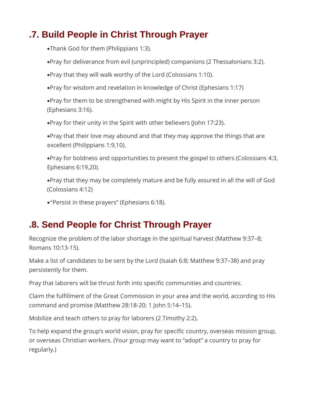### .7. Build People in Christ Through Prayer

Thank God for them (Philippians 1:3).

- Pray for deliverance from evil (unprincipled) companions (2 Thessalonians 3:2).
- Pray that they will walk worthy of the Lord (Colossians 1:10).
- Pray for wisdom and revelation in knowledge of Christ (Ephesians 1:17)
- Pray for them to be strengthened with might by His Spirit in the inner person (Ephesians 3:16).
- Pray for their unity in the Spirit with other believers (John 17:23).
- Pray that their love may abound and that they may approve the things that are excellent (Philippians 1:9,10).
- Pray for boldness and opportunities to present the gospel to others (Colossians 4:3, Ephesians 6:19,20).
- Pray that they may be completely mature and be fully assured in all the will of God (Colossians 4:12)
- "Persist in these prayers" (Ephesians 6:18).

## .8. Send People for Christ Through Prayer

Recognize the problem of the labor shortage in the spiritual harvest (Matthew 9:37–8; Romans 10:13-15).

Make a list of candidates to be sent by the Lord (Isaiah 6:8; Matthew 9:37–38) and pray persistently for them.

Pray that laborers will be thrust forth into specific communities and countries.

Claim the fulfillment of the Great Commission in your area and the world, according to His command and promise (Matthew 28:18-20; 1 John 5:14–15).

Mobilize and teach others to pray for laborers (2 Timothy 2:2).

To help expand the group's world vision, pray for specific country, overseas mission group, or overseas Christian workers. (Your group may want to "adopt" a country to pray for regularly.)